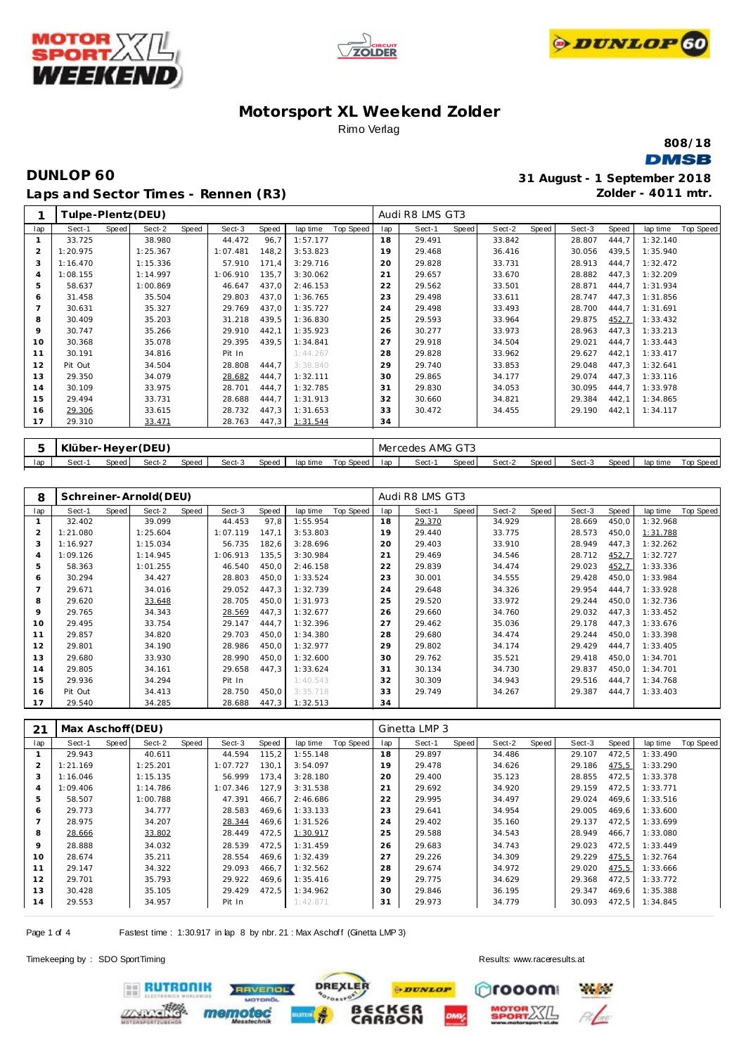





**808/18 DMSB** 

# **DUNLOP 60 31 August - 1 September 2018 Laps and Sector Times - Rennen (R3)**

**Zolder - 4011 mtr.**

| 1   |          |       | Tulpe-Plentz (DEU) |       |          |       |          |           |     | Audi R8 LMS GT3  |       |        |       |        |       |          |           |
|-----|----------|-------|--------------------|-------|----------|-------|----------|-----------|-----|------------------|-------|--------|-------|--------|-------|----------|-----------|
| lap | Sect-1   | Speed | Sect-2             | Speed | Sect-3   | Speed | lap time | Top Speed | Iap | Sect-1           | Speed | Sect-2 | Speed | Sect-3 | Speed | lap time | Top Speed |
|     | 33.725   |       | 38.980             |       | 44.472   | 96,7  | 1:57.177 |           | 18  | 29.491           |       | 33.842 |       | 28.807 | 444,7 | 1:32.140 |           |
| 2   | 1:20.975 |       | 1:25.367           |       | 1:07.481 | 148,2 | 3:53.823 |           | 19  | 29.468           |       | 36.416 |       | 30.056 | 439,5 | 1:35.940 |           |
| 3   | 1:16.470 |       | 1:15.336           |       | 57.910   | 171,4 | 3:29.716 |           | 20  | 29.828           |       | 33.731 |       | 28.913 | 444,7 | 1:32.472 |           |
| 4   | 1:08.155 |       | 1:14.997           |       | 1:06.910 | 135.7 | 3:30.062 |           | 21  | 29.657           |       | 33.670 |       | 28.882 | 447,3 | 1:32.209 |           |
| 5   | 58.637   |       | 1:00.869           |       | 46.647   | 437,0 | 2:46.153 |           | 22  | 29.562           |       | 33.501 |       | 28.871 | 444,7 | 1:31.934 |           |
| 6   | 31.458   |       | 35.504             |       | 29.803   | 437,0 | 1:36.765 |           | 23  | 29.498           |       | 33.611 |       | 28.747 | 447,3 | 1:31.856 |           |
|     | 30.631   |       | 35.327             |       | 29.769   | 437,0 | 1:35.727 |           | 24  | 29.498           |       | 33.493 |       | 28.700 | 444,7 | 1:31.691 |           |
| 8   | 30.409   |       | 35.203             |       | 31.218   | 439,5 | 1:36.830 |           | 25  | 29.593           |       | 33.964 |       | 29.875 | 452,7 | 1:33.432 |           |
| 9   | 30.747   |       | 35.266             |       | 29.910   | 442,1 | 1:35.923 |           | 26  | 30.277           |       | 33.973 |       | 28.963 | 447,3 | 1:33.213 |           |
| 10  | 30.368   |       | 35.078             |       | 29.395   | 439,5 | 1:34.841 |           | 27  | 29.918           |       | 34.504 |       | 29.021 | 444,7 | 1:33.443 |           |
| 11  | 30.191   |       | 34.816             |       | Pit In   |       | 1:44.267 |           | 28  | 29.828           |       | 33.962 |       | 29.627 | 442,1 | 1:33.417 |           |
| 12  | Pit Out  |       | 34.504             |       | 28.808   | 444.7 | 3:38.840 |           | 29  | 29.740           |       | 33.853 |       | 29.048 | 447,3 | 1:32.641 |           |
| 13  | 29.350   |       | 34.079             |       | 28.682   | 444,7 | 1:32.111 |           | 30  | 29.865           |       | 34.177 |       | 29.074 | 447,3 | 1:33.116 |           |
| 14  | 30.109   |       | 33.975             |       | 28.701   | 444,7 | 1:32.785 |           | 31  | 29.830           |       | 34.053 |       | 30.095 | 444,7 | 1:33.978 |           |
| 15  | 29.494   |       | 33.731             |       | 28.688   | 444,7 | 1:31.913 |           | 32  | 30.660           |       | 34.821 |       | 29.384 | 442,1 | 1:34.865 |           |
| 16  | 29.306   |       | 33.615             |       | 28.732   | 447,3 | 1:31.653 |           | 33  | 30.472           |       | 34.455 |       | 29.190 | 442,1 | 1:34.117 |           |
| 17  | 29.310   |       | 33.471             |       | 28.763   | 447,3 | 1:31.544 |           | 34  |                  |       |        |       |        |       |          |           |
|     |          |       |                    |       |          |       |          |           |     |                  |       |        |       |        |       |          |           |
| Б.  |          |       | Klüber-Hever (DEU) |       |          |       |          |           |     | Mercedes AMG GT3 |       |        |       |        |       |          |           |

|     | Klüber-Heyer ( |       | (DEU)  |       |        |       |          |           |     | Mercedes | AMG GT3      |        |       |        |       |          |           |
|-----|----------------|-------|--------|-------|--------|-------|----------|-----------|-----|----------|--------------|--------|-------|--------|-------|----------|-----------|
| lap | Sect-          | Speed | Sect-2 | Speed | Sect-3 | Speed | lap time | Top Speed | lan | Sect-    | <b>Speed</b> | Sect-2 | Speed | Sect-3 | Speed | lap time | Top Speed |
|     |                |       |        |       |        |       |          |           |     |          |              |        |       |        |       |          |           |

| 8   |          |       | Schreiner-Arnold(DEU) |       |          |       |          |           |     | Audi R8 LMS GT3 |       |        |       |        |       |          |           |
|-----|----------|-------|-----------------------|-------|----------|-------|----------|-----------|-----|-----------------|-------|--------|-------|--------|-------|----------|-----------|
| lap | Sect-1   | Speed | Sect-2                | Speed | Sect-3   | Speed | lap time | Top Speed | lap | Sect-1          | Speed | Sect-2 | Speed | Sect-3 | Speed | lap time | Top Speed |
|     | 32.402   |       | 39.099                |       | 44.453   | 97,8  | 1:55.954 |           | 18  | 29.370          |       | 34.929 |       | 28.669 | 450,0 | 1:32.968 |           |
|     | 1:21.080 |       | 1:25.604              |       | 1:07.119 | 147,1 | 3:53.803 |           | 19  | 29.440          |       | 33.775 |       | 28.573 | 450,0 | 1:31.788 |           |
| 3   | 1:16.927 |       | 1:15.034              |       | 56.735   | 182,6 | 3:28.696 |           | 20  | 29.403          |       | 33.910 |       | 28.949 | 447,3 | 1:32.262 |           |
| 4   | 1:09.126 |       | 1:14.945              |       | 1:06.913 | 135,5 | 3:30.984 |           | 21  | 29.469          |       | 34.546 |       | 28.712 | 452,7 | 1:32.727 |           |
| 5   | 58.363   |       | 1:01.255              |       | 46.540   | 450,0 | 2:46.158 |           | 22  | 29.839          |       | 34.474 |       | 29.023 | 452,7 | 1:33.336 |           |
| 6   | 30.294   |       | 34.427                |       | 28.803   | 450,0 | 1:33.524 |           | 23  | 30.001          |       | 34.555 |       | 29.428 | 450,0 | 1:33.984 |           |
|     | 29.671   |       | 34.016                |       | 29.052   | 447,3 | 1:32.739 |           | 24  | 29.648          |       | 34.326 |       | 29.954 | 444,7 | 1:33.928 |           |
| 8   | 29.620   |       | 33.648                |       | 28.705   | 450,0 | 1:31.973 |           | 25  | 29.520          |       | 33.972 |       | 29.244 | 450,0 | 1:32.736 |           |
| 9   | 29.765   |       | 34.343                |       | 28.569   | 447,3 | 1:32.677 |           | 26  | 29.660          |       | 34.760 |       | 29.032 | 447,3 | 1:33.452 |           |
| 10  | 29.495   |       | 33.754                |       | 29.147   | 444,7 | 1:32.396 |           | 27  | 29.462          |       | 35.036 |       | 29.178 | 447,3 | 1:33.676 |           |
| 11  | 29.857   |       | 34.820                |       | 29.703   | 450,0 | 1:34.380 |           | 28  | 29.680          |       | 34.474 |       | 29.244 | 450,0 | 1:33.398 |           |
| 12  | 29.801   |       | 34.190                |       | 28.986   | 450,0 | 1:32.977 |           | 29  | 29.802          |       | 34.174 |       | 29.429 | 444,7 | 1:33.405 |           |
| 13  | 29.680   |       | 33.930                |       | 28.990   | 450,0 | 1:32.600 |           | 30  | 29.762          |       | 35.521 |       | 29.418 | 450,0 | 1:34.701 |           |
| 14  | 29.805   |       | 34.161                |       | 29.658   | 447,3 | 1:33.624 |           | 31  | 30.134          |       | 34.730 |       | 29.837 | 450,0 | 1:34.701 |           |
| 15  | 29.936   |       | 34.294                |       | Pit In   |       | 1:40.543 |           | 32  | 30.309          |       | 34.943 |       | 29.516 | 444,7 | 1:34.768 |           |
| 16  | Pit Out  |       | 34.413                |       | 28.750   | 450,0 | 3:35.718 |           | 33  | 29.749          |       | 34.267 |       | 29.387 | 444,7 | 1:33.403 |           |
| 17  | 29.540   |       | 34.285                |       | 28.688   | 447,3 | 1:32.513 |           | 34  |                 |       |        |       |        |       |          |           |

| 21  | Max Aschoff (DEU) |       |          |       |          |       |          |           |     | Ginetta LMP 3 |       |        |       |        |       |          |           |
|-----|-------------------|-------|----------|-------|----------|-------|----------|-----------|-----|---------------|-------|--------|-------|--------|-------|----------|-----------|
| lap | Sect-1            | Speed | Sect-2   | Speed | Sect-3   | Speed | lap time | Top Speed | lap | Sect-1        | Speed | Sect-2 | Speed | Sect-3 | Speed | lap time | Top Speed |
|     | 29.943            |       | 40.611   |       | 44.594   | 115,2 | 1:55.148 |           | 18  | 29.897        |       | 34.486 |       | 29.107 | 472,5 | 1:33.490 |           |
|     | 1:21.169          |       | 1:25.201 |       | 1:07.727 | 130.1 | 3:54.097 |           | 19  | 29.478        |       | 34.626 |       | 29.186 | 475,5 | 1:33.290 |           |
| 3   | 1:16.046          |       | 1:15.135 |       | 56.999   | 173.4 | 3:28.180 |           | 20  | 29.400        |       | 35.123 |       | 28.855 | 472,5 | 1:33.378 |           |
| 4   | 1:09.406          |       | 1:14.786 |       | 1:07.346 | 127.9 | 3:31.538 |           | 21  | 29.692        |       | 34.920 |       | 29.159 | 472,5 | 1:33.771 |           |
| 5   | 58.507            |       | 1:00.788 |       | 47.391   | 466.7 | 2:46.686 |           | 22  | 29.995        |       | 34.497 |       | 29.024 | 469.6 | 1:33.516 |           |
| 6   | 29.773            |       | 34.777   |       | 28.583   | 469.6 | 1:33.133 |           | 23  | 29.641        |       | 34.954 |       | 29.005 | 469.6 | 1:33.600 |           |
|     | 28.975            |       | 34.207   |       | 28.344   | 469.6 | 1:31.526 |           | 24  | 29.402        |       | 35.160 |       | 29.137 | 472,5 | 1:33.699 |           |
| 8   | 28.666            |       | 33.802   |       | 28.449   | 472,5 | 1:30.917 |           | 25  | 29.588        |       | 34.543 |       | 28.949 | 466,7 | 1:33.080 |           |
| 9   | 28.888            |       | 34.032   |       | 28.539   | 472,5 | 1:31.459 |           | 26  | 29.683        |       | 34.743 |       | 29.023 | 472.5 | 1:33.449 |           |
| 10  | 28.674            |       | 35.211   |       | 28.554   | 469,6 | 1:32.439 |           | 27  | 29.226        |       | 34.309 |       | 29.229 | 475,5 | 1:32.764 |           |
| 11  | 29.147            |       | 34.322   |       | 29.093   | 466.7 | 1:32.562 |           | 28  | 29.674        |       | 34.972 |       | 29.020 | 475,5 | 1:33.666 |           |
| 12  | 29.701            |       | 35.793   |       | 29.922   | 469.6 | 1:35.416 |           | 29  | 29.775        |       | 34.629 |       | 29.368 | 472,5 | 1:33.772 |           |
| 13  | 30.428            |       | 35.105   |       | 29.429   | 472,5 | 1:34.962 |           | 30  | 29.846        |       | 36.195 |       | 29.347 | 469,6 | 1:35.388 |           |
| 14  | 29.553            |       | 34.957   |       | Pit In   |       | 1:42.871 |           | 31  | 29.973        |       | 34.779 |       | 30.093 | 472,5 | 1:34.845 |           |

Page 1 of 4 Fastest time : 1:30.917 in lap 8 by nbr. 21 : Max Aschoff (Ginetta LMP 3)

**ERUTRONIK** 

Timekeeping by : SDO SportTiming Results:<www.raceresults.at>

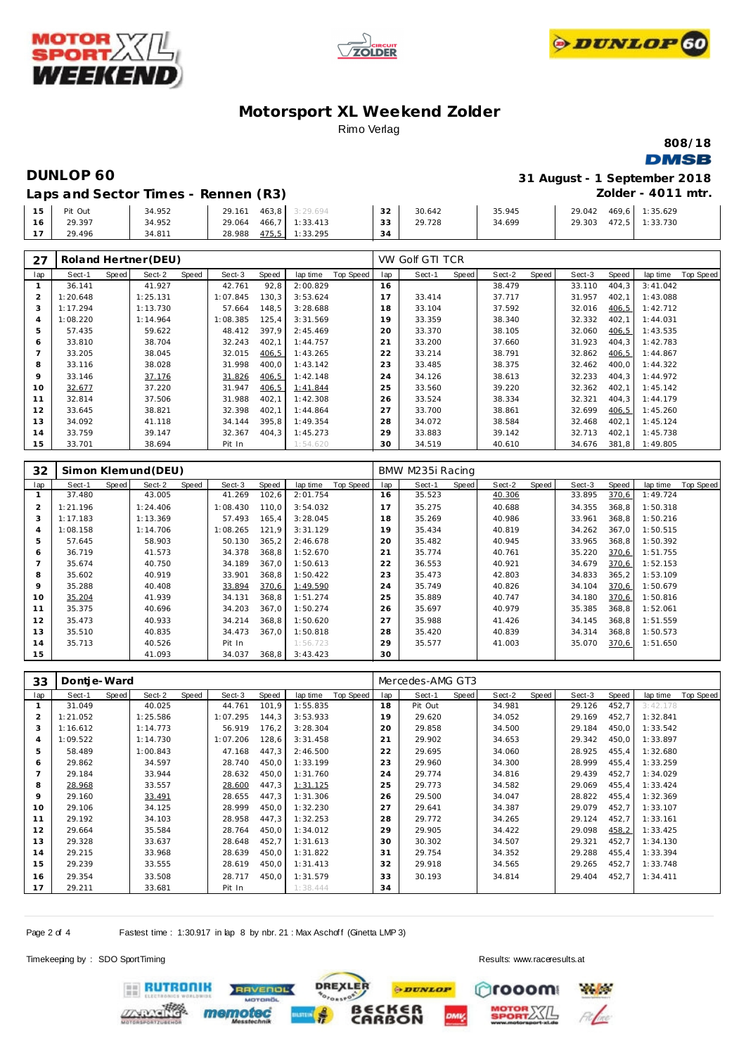





**808/18**

### **DMSB**

**DUNLOP 60 31 August - 1 September 2018 Zolder - 4011 mtr.**

| 15     | Pit Out | 34.952 | 463,8 3:29.694<br>29.161 | $\sim$         | 30.642 | 35.945 | 29.042 | 469,6 1:35.629 |
|--------|---------|--------|--------------------------|----------------|--------|--------|--------|----------------|
| 16     | 29.397  | 34.952 | 466,7 1:33.413<br>29.064 | 33             | 29.728 | 34.699 | 29.303 | 472.5 1:33.730 |
| $\sim$ | 29.496  | 34.811 | 475,5<br>28.988          | 1:33.295<br>34 |        |        |        |                |

| 27  |          |       | Roland Hertner (DEU) |       |          |        |          |           |     | VW Golf GTI TCR |              |        |       |        |       |          |           |
|-----|----------|-------|----------------------|-------|----------|--------|----------|-----------|-----|-----------------|--------------|--------|-------|--------|-------|----------|-----------|
| lap | Sect-1   | Speed | Sect-2               | Speed | Sect-3   | Speed  | lap time | Top Speed | lap | Sect-1          | <b>Speed</b> | Sect-2 | Speed | Sect-3 | Speed | lap time | Top Speed |
|     | 36.141   |       | 41.927               |       | 42.761   | 92,8   | 2:00.829 |           | 16  |                 |              | 38.479 |       | 33.110 | 404,3 | 3:41.042 |           |
|     | 1:20.648 |       | 1:25.131             |       | 1:07.845 | 130,3  | 3:53.624 |           | 17  | 33.414          |              | 37.717 |       | 31.957 | 402,1 | 1:43.088 |           |
|     | 1:17.294 |       | 1:13.730             |       | 57.664   | 148,5  | 3:28.688 |           | 18  | 33.104          |              | 37.592 |       | 32.016 | 406,5 | 1:42.712 |           |
| 4   | 1:08.220 |       | 1:14.964             |       | 1:08.385 | 125,4  | 3:31.569 |           | 19  | 33.359          |              | 38.340 |       | 32.332 | 402,1 | 1:44.031 |           |
| 5   | 57.435   |       | 59.622               |       | 48.412   | 397.9  | 2:45.469 |           | 20  | 33.370          |              | 38.105 |       | 32.060 | 406,5 | 1:43.535 |           |
| 6   | 33.810   |       | 38.704               |       | 32.243   | 402,1  | 1:44.757 |           | 21  | 33.200          |              | 37.660 |       | 31.923 | 404,3 | 1:42.783 |           |
|     | 33.205   |       | 38.045               |       | 32.015   | 406,5  | 1:43.265 |           | 22  | 33.214          |              | 38.791 |       | 32.862 | 406,5 | 1:44.867 |           |
| 8   | 33.116   |       | 38.028               |       | 31.998   | 400,0  | 1:43.142 |           | 23  | 33.485          |              | 38.375 |       | 32.462 | 400,0 | 1:44.322 |           |
| 9   | 33.146   |       | 37.176               |       | 31.826   | 406,5  | 1:42.148 |           | 24  | 34.126          |              | 38.613 |       | 32.233 | 404,3 | 1:44.972 |           |
| 10  | 32.677   |       | 37.220               |       | 31.947   | 406, 5 | 1:41.844 |           | 25  | 33.560          |              | 39.220 |       | 32.362 | 402,1 | 1:45.142 |           |
| 11  | 32.814   |       | 37.506               |       | 31.988   | 402,1  | 1:42.308 |           | 26  | 33.524          |              | 38.334 |       | 32.321 | 404,3 | 1:44.179 |           |
| 12  | 33.645   |       | 38.821               |       | 32.398   | 402,1  | 1:44.864 |           | 27  | 33.700          |              | 38.861 |       | 32.699 | 406,5 | 1:45.260 |           |
| 13  | 34.092   |       | 41.118               |       | 34.144   | 395.8  | 1:49.354 |           | 28  | 34.072          |              | 38.584 |       | 32.468 | 402,1 | 1:45.124 |           |
| 14  | 33.759   |       | 39.147               |       | 32.367   | 404,3  | 1:45.273 |           | 29  | 33.883          |              | 39.142 |       | 32.713 | 402,1 | 1:45.738 |           |
| 15  | 33.701   |       | 38.694               |       | Pit In   |        | 1:54.620 |           | 30  | 34.519          |              | 40.610 |       | 34.676 | 381,8 | 1:49.805 |           |

| 32  |          |       | Simon Klemund (DEU) |       |          |        |          |           |     | BMW M235i Racing |       |        |       |        |        |          |           |
|-----|----------|-------|---------------------|-------|----------|--------|----------|-----------|-----|------------------|-------|--------|-------|--------|--------|----------|-----------|
| lap | Sect-1   | Speed | Sect-2              | Speed | Sect-3   | Speed  | lap time | Top Speed | lap | Sect-1           | Speed | Sect-2 | Speed | Sect-3 | Speed  | lap time | Top Speed |
|     | 37.480   |       | 43.005              |       | 41.269   | 102,6  | 2:01.754 |           | 16  | 35.523           |       | 40.306 |       | 33.895 | 370,6  | 1:49.724 |           |
| 2   | 1:21.196 |       | 1:24.406            |       | 1:08.430 | 110.0  | 3:54.032 |           | 17  | 35.275           |       | 40.688 |       | 34.355 | 368.8  | 1:50.318 |           |
| 3   | 1:17.183 |       | 1:13.369            |       | 57.493   | 165,4  | 3:28.045 |           | 18  | 35.269           |       | 40.986 |       | 33.961 | 368,8  | 1:50.216 |           |
| 4   | 1:08.158 |       | 1:14.706            |       | 1:08.265 | 121.9  | 3:31.129 |           | 19  | 35.434           |       | 40.819 |       | 34.262 | 367,0  | 1:50.515 |           |
| 5   | 57.645   |       | 58.903              |       | 50.130   | 365, 2 | 2:46.678 |           | 20  | 35.482           |       | 40.945 |       | 33.965 | 368,8  | 1:50.392 |           |
| 6   | 36.719   |       | 41.573              |       | 34.378   | 368,8  | 1:52.670 |           | 21  | 35.774           |       | 40.761 |       | 35.220 | 370,6  | 1:51.755 |           |
|     | 35.674   |       | 40.750              |       | 34.189   | 367.0  | 1:50.613 |           | 22  | 36.553           |       | 40.921 |       | 34.679 | 370,6  | 1:52.153 |           |
| 8   | 35.602   |       | 40.919              |       | 33.901   | 368,8  | 1:50.422 |           | 23  | 35.473           |       | 42.803 |       | 34.833 | 365, 2 | 1:53.109 |           |
| 9   | 35.288   |       | 40.408              |       | 33.894   | 370,6  | 1:49.590 |           | 24  | 35.749           |       | 40.826 |       | 34.104 | 370.6  | 1:50.679 |           |
| 10  | 35.204   |       | 41.939              |       | 34.131   | 368,8  | 1:51.274 |           | 25  | 35.889           |       | 40.747 |       | 34.180 | 370,6  | 1:50.816 |           |
| 11  | 35.375   |       | 40.696              |       | 34.203   | 367,0  | 1:50.274 |           | 26  | 35.697           |       | 40.979 |       | 35.385 | 368,8  | 1:52.061 |           |
| 12  | 35.473   |       | 40.933              |       | 34.214   | 368,8  | 1:50.620 |           | 27  | 35.988           |       | 41.426 |       | 34.145 | 368,8  | 1:51.559 |           |
| 13  | 35.510   |       | 40.835              |       | 34.473   | 367.0  | 1:50.818 |           | 28  | 35.420           |       | 40.839 |       | 34.314 | 368,8  | 1:50.573 |           |
| 14  | 35.713   |       | 40.526              |       | Pit In   |        | 1:56.723 |           | 29  | 35.577           |       | 41.003 |       | 35.070 | 370,6  | 1:51.650 |           |
| 15  |          |       | 41.093              |       | 34.037   | 368,8  | 3:43.423 |           | 30  |                  |       |        |       |        |        |          |           |

| 33             | Dontje-Ward |       |          |       |          |       |          |           |     | Mercedes-AMG GT3 |       |        |       |        |       |          |           |
|----------------|-------------|-------|----------|-------|----------|-------|----------|-----------|-----|------------------|-------|--------|-------|--------|-------|----------|-----------|
| lap            | Sect-1      | Speed | Sect-2   | Speed | Sect-3   | Speed | lap time | Top Speed | lap | Sect-1           | Speed | Sect-2 | Speed | Sect-3 | Speed | lap time | Top Speed |
|                | 31.049      |       | 40.025   |       | 44.761   | 101,9 | 1:55.835 |           | 18  | Pit Out          |       | 34.981 |       | 29.126 | 452,7 | 3:42.178 |           |
| $\overline{2}$ | 1:21.052    |       | 1:25.586 |       | 1:07.295 | 144.3 | 3:53.933 |           | 19  | 29.620           |       | 34.052 |       | 29.169 | 452,7 | 1:32.841 |           |
| 3              | 1:16.612    |       | 1:14.773 |       | 56.919   | 176,2 | 3:28.304 |           | 20  | 29.858           |       | 34.500 |       | 29.184 | 450,0 | 1:33.542 |           |
| $\overline{4}$ | 1:09.522    |       | 1:14.730 |       | 1:07.206 | 128,6 | 3:31.458 |           | 21  | 29.902           |       | 34.653 |       | 29.342 | 450,0 | 1:33.897 |           |
| 5              | 58.489      |       | 1:00.843 |       | 47.168   | 447,3 | 2:46.500 |           | 22  | 29.695           |       | 34.060 |       | 28.925 | 455,4 | 1:32.680 |           |
| 6              | 29.862      |       | 34.597   |       | 28.740   | 450,0 | 1:33.199 |           | 23  | 29.960           |       | 34.300 |       | 28.999 | 455,4 | 1:33.259 |           |
|                | 29.184      |       | 33.944   |       | 28.632   | 450,0 | 1:31.760 |           | 24  | 29.774           |       | 34.816 |       | 29.439 | 452,7 | 1:34.029 |           |
| 8              | 28.968      |       | 33.557   |       | 28.600   | 447,3 | 1:31.125 |           | 25  | 29.773           |       | 34.582 |       | 29.069 | 455,4 | 1:33.424 |           |
| 9              | 29.160      |       | 33.491   |       | 28.655   | 447,3 | 1:31.306 |           | 26  | 29.500           |       | 34.047 |       | 28.822 | 455,4 | 1:32.369 |           |
| 10             | 29.106      |       | 34.125   |       | 28.999   | 450,0 | 1:32.230 |           | 27  | 29.641           |       | 34.387 |       | 29.079 | 452,7 | 1:33.107 |           |
| 11             | 29.192      |       | 34.103   |       | 28.958   | 447,3 | 1:32.253 |           | 28  | 29.772           |       | 34.265 |       | 29.124 | 452,7 | 1:33.161 |           |
| 12             | 29.664      |       | 35.584   |       | 28.764   | 450.0 | 1:34.012 |           | 29  | 29.905           |       | 34.422 |       | 29.098 | 458,2 | 1:33.425 |           |
| 13             | 29.328      |       | 33.637   |       | 28.648   | 452,7 | 1:31.613 |           | 30  | 30.302           |       | 34.507 |       | 29.321 | 452,7 | 1:34.130 |           |
| 14             | 29.215      |       | 33.968   |       | 28.639   | 450,0 | 1:31.822 |           | 31  | 29.754           |       | 34.352 |       | 29.288 | 455,4 | 1:33.394 |           |
| 15             | 29.239      |       | 33.555   |       | 28.619   | 450,0 | 1:31.413 |           | 32  | 29.918           |       | 34.565 |       | 29.265 | 452,7 | 1:33.748 |           |
| 16             | 29.354      |       | 33.508   |       | 28.717   | 450,0 | 1:31.579 |           | 33  | 30.193           |       | 34.814 |       | 29.404 | 452,7 | 1:34.411 |           |
| 17             | 29.211      |       | 33.681   |       | Pit In   |       | 1:38.444 |           | 34  |                  |       |        |       |        |       |          |           |

Page 2 of 4 Fastest time : 1:30.917 in lap 8 by nbr. 21 : Max Aschoff (Ginetta LMP 3)

Timekeeping by : SDO SportTiming Results:<www.raceresults.at>

**ERUTRONIK** 

[ c

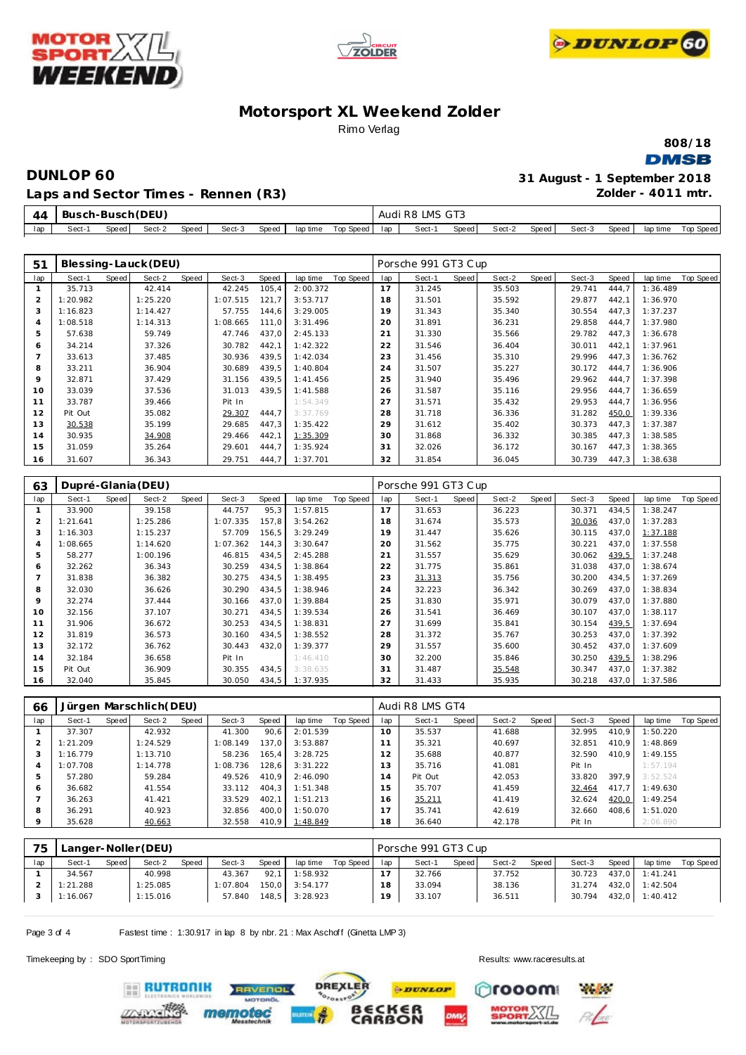





**808/18 DMSB** 

**Zolder - 4011 mtr.**

**DUNLOP 60 31 August - 1 September 2018**

**Laps and Sector Times - Rennen (R3)**

| 44  |        | Busch-Busch (DEU) |        |       |        |       |          |           |     | Audi R8 LMS GT3 |       |        |       |        |       |          |           |
|-----|--------|-------------------|--------|-------|--------|-------|----------|-----------|-----|-----------------|-------|--------|-------|--------|-------|----------|-----------|
| lap | Sect-1 | Speed             | Sect-2 | Speed | Sect-3 | Speed | lap time | Top Speed | lap | Sect-1          | Speed | Sect-2 | Speed | Sect-3 | Speed | lap time | Top Speed |

| 51              |                    |       | Blessing-Lauck (DEU)    |       |          |       |          |           |     | Porsche 991 GT3 Cup |       |        |       |        |       |          |                  |
|-----------------|--------------------|-------|-------------------------|-------|----------|-------|----------|-----------|-----|---------------------|-------|--------|-------|--------|-------|----------|------------------|
| lap             | Sect-1             | Speed | Sect-2                  | Speed | Sect-3   | Speed | lap time | Top Speed | lap | Sect-1              | Speed | Sect-2 | Speed | Sect-3 | Speed | lap time | Top Speed        |
| $\mathbf{1}$    | 35.713             |       | 42.414                  |       | 42.245   | 105,4 | 2:00.372 |           | 17  | 31.245              |       | 35.503 |       | 29.741 | 444.7 | 1:36.489 |                  |
| $\sqrt{2}$      | 1:20.982           |       | 1:25.220                |       | 1:07.515 | 121,7 | 3:53.717 |           | 18  | 31.501              |       | 35.592 |       | 29.877 | 442,1 | 1:36.970 |                  |
| 3               | 1:16.823           |       | 1:14.427                |       | 57.755   | 144,6 | 3:29.005 |           | 19  | 31.343              |       | 35.340 |       | 30.554 | 447,3 | 1:37.237 |                  |
| $\overline{4}$  | 1:08.518           |       | 1:14.313                |       | 1:08.665 | 111,0 | 3:31.496 |           | 20  | 31.891              |       | 36.231 |       | 29.858 | 444,7 | 1:37.980 |                  |
| 5               | 57.638             |       | 59.749                  |       | 47.746   | 437,0 | 2:45.133 |           | 21  | 31.330              |       | 35.566 |       | 29.782 | 447,3 | 1:36.678 |                  |
| 6               | 34.214             |       | 37.326                  |       | 30.782   | 442,1 | 1:42.322 |           | 22  | 31.546              |       | 36.404 |       | 30.011 | 442,1 | 1:37.961 |                  |
| $7\overline{ }$ | 33.613             |       | 37.485                  |       | 30.936   | 439,5 | 1:42.034 |           | 23  | 31.456              |       | 35.310 |       | 29.996 | 447,3 | 1:36.762 |                  |
| 8               | 33.211             |       | 36.904                  |       | 30.689   | 439,5 | 1:40.804 |           | 24  | 31.507              |       | 35.227 |       | 30.172 | 444,7 | 1:36.906 |                  |
| 9               | 32.871             |       | 37.429                  |       | 31.156   | 439,5 | 1:41.456 |           | 25  | 31.940              |       | 35.496 |       | 29.962 | 444,7 | 1:37.398 |                  |
| 10              | 33.039             |       | 37.536                  |       | 31.013   | 439,5 | 1:41.588 |           | 26  | 31.587              |       | 35.116 |       | 29.956 | 444,7 | 1:36.659 |                  |
| 11              | 33.787             |       | 39.466                  |       | Pit In   |       | 1:54.349 |           | 27  | 31.571              |       | 35.432 |       | 29.953 | 444,7 | 1:36.956 |                  |
| 12              | Pit Out            |       | 35.082                  |       | 29.307   | 444,7 | 3:37.769 |           | 28  | 31.718              |       | 36.336 |       | 31.282 | 450,0 | 1:39.336 |                  |
| 13              | 30.538             |       | 35.199                  |       | 29.685   | 447,3 | 1:35.422 |           | 29  | 31.612              |       | 35.402 |       | 30.373 | 447,3 | 1:37.387 |                  |
| 14              | 30.935             |       | 34.908                  |       | 29.466   | 442,1 | 1:35.309 |           | 30  | 31.868              |       | 36.332 |       | 30.385 | 447,3 | 1:38.585 |                  |
| 15              | 31.059             |       | 35.264                  |       | 29.601   | 444,7 | 1:35.924 |           | 31  | 32.026              |       | 36.172 |       | 30.167 | 447,3 | 1:38.365 |                  |
| 16              | 31.607             |       | 36.343                  |       | 29.751   | 444,7 | 1:37.701 |           | 32  | 31.854              |       | 36.045 |       | 30.739 | 447,3 | 1:38.638 |                  |
|                 |                    |       |                         |       |          |       |          |           |     |                     |       |        |       |        |       |          |                  |
| 63              | Dupré-Glania (DEU) |       |                         |       |          |       |          |           |     | Porsche 991 GT3 Cup |       |        |       |        |       |          |                  |
|                 |                    |       |                         |       |          |       |          |           |     |                     |       |        |       |        |       |          |                  |
| lap             | Sect-1             | Speed | Sect-2                  | Speed | Sect-3   | Speed | lap time | Top Speed | lap | Sect-1              | Speed | Sect-2 | Speed | Sect-3 | Speed | lap time | <b>Top Speed</b> |
| $\mathbf{1}$    | 33.900             |       | 39.158                  |       | 44.757   | 95,3  | 1:57.815 |           | 17  | 31.653              |       | 36.223 |       | 30.371 | 434,5 | 1:38.247 |                  |
| $\overline{2}$  | 1:21.641           |       | 1:25.286                |       | 1:07.335 | 157,8 | 3:54.262 |           | 18  | 31.674              |       | 35.573 |       | 30.036 | 437,0 | 1:37.283 |                  |
| 3               | 1:16.303           |       | 1:15.237                |       | 57.709   | 156,5 | 3:29.249 |           | 19  | 31.447              |       | 35.626 |       | 30.115 | 437,0 | 1:37.188 |                  |
| $\overline{4}$  | 1:08.665           |       | 1:14.620                |       | 1:07.362 | 144,3 | 3:30.647 |           | 20  | 31.562              |       | 35.775 |       | 30.221 | 437,0 | 1:37.558 |                  |
| 5               | 58.277             |       | 1:00.196                |       | 46.815   | 434,5 | 2:45.288 |           | 21  | 31.557              |       | 35.629 |       | 30.062 | 439,5 | 1:37.248 |                  |
| 6               | 32.262             |       | 36.343                  |       | 30.259   | 434,5 | 1:38.864 |           | 22  | 31.775              |       | 35.861 |       | 31.038 | 437,0 | 1:38.674 |                  |
| $7\overline{ }$ | 31.838             |       | 36.382                  |       | 30.275   | 434,5 | 1:38.495 |           | 23  | 31.313              |       | 35.756 |       | 30.200 | 434,5 | 1:37.269 |                  |
| 8               | 32.030             |       | 36.626                  |       | 30.290   | 434,5 | 1:38.946 |           | 24  | 32.223              |       | 36.342 |       | 30.269 | 437.0 | 1:38.834 |                  |
| 9               | 32.274             |       | 37.444                  |       | 30.166   | 437,0 | 1:39.884 |           | 25  | 31.830              |       | 35.971 |       | 30.079 | 437,0 | 1:37.880 |                  |
| 10              | 32.156             |       | 37.107                  |       | 30.271   | 434,5 | 1:39.534 |           | 26  | 31.541              |       | 36.469 |       | 30.107 | 437,0 | 1:38.117 |                  |
| 11              | 31.906             |       | 36.672                  |       | 30.253   | 434,5 | 1:38.831 |           | 27  | 31.699              |       | 35.841 |       | 30.154 | 439,5 | 1:37.694 |                  |
| 12              | 31.819             |       | 36.573                  |       | 30.160   | 434,5 | 1:38.552 |           | 28  | 31.372              |       | 35.767 |       | 30.253 | 437,0 | 1:37.392 |                  |
| 13              | 32.172             |       | 36.762                  |       | 30.443   | 432,0 | 1:39.377 |           | 29  | 31.557              |       | 35.600 |       | 30.452 | 437,0 | 1:37.609 |                  |
| 14              | 32.184             |       | 36.658                  |       | Pit In   |       | 1:46.410 |           | 30  | 32.200              |       | 35.846 |       | 30.250 | 439,5 | 1:38.296 |                  |
| 15              | Pit Out            |       | 36.909                  |       | 30.355   | 434,5 | 3:38.635 |           | 31  | 31.487              |       | 35.548 |       | 30.347 | 437,0 | 1:37.382 |                  |
| 16              | 32.040             |       | 35.845                  |       | 30.050   | 434,5 | 1:37.935 |           | 32  | 31.433              |       | 35.935 |       | 30.218 | 437,0 | 1:37.586 |                  |
|                 |                    |       |                         |       |          |       |          |           |     |                     |       |        |       |        |       |          |                  |
| 66              |                    |       | Jürgen Marschlich (DEU) |       |          |       |          |           |     | Audi R8 LMS GT4     |       |        |       |        |       |          |                  |

| 66       |          |       | JUI GEN MAI SCHIICH DEU) |       |          |       |                |           |     | AUUI RO LIVIO GT4 |       |        |       |        |       |          |           |
|----------|----------|-------|--------------------------|-------|----------|-------|----------------|-----------|-----|-------------------|-------|--------|-------|--------|-------|----------|-----------|
| lap      | Sect-1   | Speed | Sect-2                   | Speed | Sect-3   | Speed | lap time       | Top Speed | lap | Sect-1            | Speed | Sect-2 | Speed | Sect-3 | Speed | lap time | Top Speed |
|          | 37.307   |       | 42.932                   |       | 41.300   | 90.6  | 2:01.539       |           | 10  | 35.537            |       | 41.688 |       | 32.995 | 410.9 | 1:50.220 |           |
|          | 1:21.209 |       | 1:24.529                 |       | 1:08.149 | 137.0 | 3:53.887       |           |     | 35.321            |       | 40.697 |       | 32.851 | 410.9 | 1:48.869 |           |
| 3        | 1:16.779 |       | 1:13.710                 |       | 58.236   | 165.4 | 3:28.725       |           | 12  | 35.688            |       | 40.877 |       | 32.590 | 410.9 | 1:49.155 |           |
| 4        | 1:07.708 |       | 1:14.778                 |       | 1:08.736 | 128.6 | 3:31.222       |           | 13  | 35.716            |       | 41.081 |       | Pit In |       | 1:57.194 |           |
| 5        | 57.280   |       | 59.284                   |       | 49.526   | 410.9 | 2:46.090       |           | 14  | Pit Out           |       | 42.053 |       | 33.820 | 397.9 | 3:52.524 |           |
| 6        | 36.682   |       | 41.554                   |       | 33.112   | 404.3 | 1:51.348       |           | 15  | 35.707            |       | 41.459 |       | 32.464 | 417.7 | 1:49.630 |           |
|          | 36.263   |       | 41.421                   |       | 33.529   | 402.1 | 1:51.213       |           | 16  | 35.211            |       | 41.419 |       | 32.624 | 420,0 | 1:49.254 |           |
| 8        | 36.291   |       | 40.923                   |       | 32.856   | 400.0 | 1:50.070       |           | 17  | 35.741            |       | 42.619 |       | 32.660 | 408.6 | 1:51.020 |           |
| $\Omega$ | 35.628   |       | 40.663                   |       | 32.558   |       | 410,9 1:48.849 |           | 18  | 36.640            |       | 42.178 |       | Pit In |       | 2:06.890 |           |

| 75  | Langer-Noller (DEU) |              |          |       |          |       |          |           | Porsche 991 GT3 Cup |        |       |        |       |        |       |                |           |
|-----|---------------------|--------------|----------|-------|----------|-------|----------|-----------|---------------------|--------|-------|--------|-------|--------|-------|----------------|-----------|
| lap | Sect-1              | <b>Speed</b> | Sect-2   | Speed | Sect-3   | Speed | lap time | Top Speed | lap                 | Sect-1 | Speed | Sect-2 | Speed | Sect-3 | Speed | lap time       | Top Speed |
|     | 34.567              |              | 40.998   |       | 43.367   | 92.1  | 1:58.932 |           |                     | 32.766 |       | 37.752 |       | 30.723 |       | 437.0 1:41.241 |           |
|     | 1:21.288            |              | 1:25.085 |       | : 07.804 | 150.0 | 3:54.177 |           | 18                  | 33.094 |       | 38.136 |       | 31.274 | 432,0 | 1:42.504       |           |
|     | 1:16.067            |              | 1:15.016 |       | 57.840   | 148,5 | 3:28.923 |           | 19                  | 33.107 |       | 36.511 |       | 30.794 |       | 432,0 1:40.412 |           |
|     |                     |              |          |       |          |       |          |           |                     |        |       |        |       |        |       |                |           |

Page 3 of 4 Fastest time : 1:30.917 in lap 8 by nbr. 21 : Max Aschoff (Ginetta LMP 3)

**ERUTRONIK** 

Timekeeping by : SDO SportTiming Results:<www.raceresults.at>